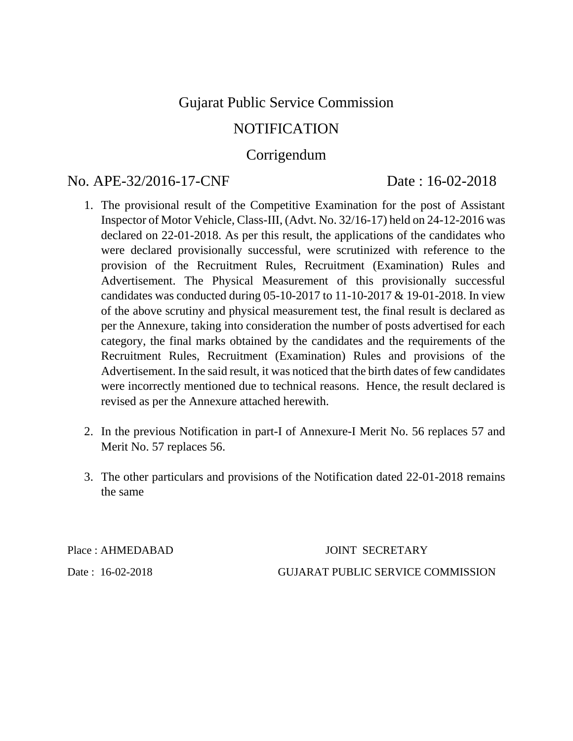# Gujarat Public Service Commission

# NOTIFICATION

# Corrigendum

# No. APE-32/2016-17-CNF Date : 16-02-2018

- 1. The provisional result of the Competitive Examination for the post of Assistant Inspector of Motor Vehicle, Class-III, (Advt. No. 32/16-17) held on 24-12-2016 was declared on 22-01-2018. As per this result, the applications of the candidates who were declared provisionally successful, were scrutinized with reference to the provision of the Recruitment Rules, Recruitment (Examination) Rules and Advertisement. The Physical Measurement of this provisionally successful candidates was conducted during 05-10-2017 to 11-10-2017 & 19-01-2018. In view of the above scrutiny and physical measurement test, the final result is declared as per the Annexure, taking into consideration the number of posts advertised for each category, the final marks obtained by the candidates and the requirements of the Recruitment Rules, Recruitment (Examination) Rules and provisions of the Advertisement. In the said result, it was noticed that the birth dates of few candidates were incorrectly mentioned due to technical reasons. Hence, the result declared is revised as per the Annexure attached herewith.
- 2. In the previous Notification in part-I of Annexure-I Merit No. 56 replaces 57 and Merit No. 57 replaces 56.
- 3. The other particulars and provisions of the Notification dated 22-01-2018 remains the same

Place : AHMEDABAD JOINT SECRETARY Date : 16-02-2018 GUJARAT PUBLIC SERVICE COMMISSION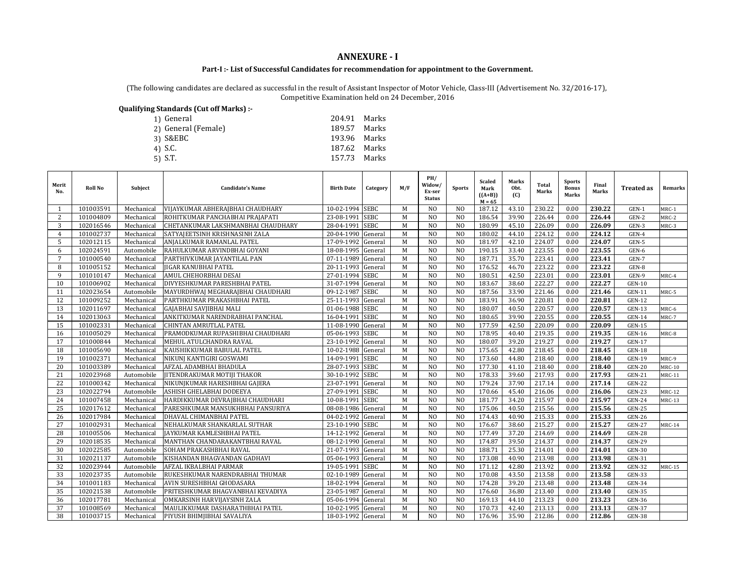### **ANNEXURE - I**

### **Part-I :- List of Successful Candidates for recommendation for appointment to the Government.**

(The following candidates are declared as successful in the result of Assistant Inspector of Motor Vehicle, Class-III (Advertisement No. 32/2016-17), Competitive Examination held on 24 December, 2016

| Oualifying Standards (Cut off Marks) :- |              |       |
|-----------------------------------------|--------------|-------|
| 1) General                              | 204.91       | Marks |
| 2) General (Female)                     | 189.57       | Marks |
| 3) S&EBC                                | 193.96 Marks |       |
| 4) S.C.                                 | 187.62 Marks |       |
| $5)$ S.T.                               | 157.73       | Marks |
|                                         |              |       |

| Merit<br>No.   | Roll No   | Subject    | <b>Candidate's Name</b>            | <b>Birth Date</b>  | Category    | M/F | PH/<br>Widow/<br>Ex-ser<br><b>Status</b> | <b>Sports</b>  | <b>Scaled</b><br>Mark<br>$((A+B))$<br>$M = 65$ | Marks<br>Obt.<br>(C) | <b>Total</b><br>Marks | <b>Sports</b><br><b>Bonus</b><br>Marks | Final<br>Marks | <b>Treated as</b> | Remarks       |
|----------------|-----------|------------|------------------------------------|--------------------|-------------|-----|------------------------------------------|----------------|------------------------------------------------|----------------------|-----------------------|----------------------------------------|----------------|-------------------|---------------|
|                | 101003591 | Mechanical | VIJAYKUMAR ABHERAJBHAI CHAUDHARY   | 10-02-1994 SEBC    |             | M   | N <sub>O</sub>                           | N <sub>O</sub> | 187.12                                         | 43.10                | 230.22                | 0.00                                   | 230.22         | GEN-1             | MRC-1         |
| 2              | 101004809 | Mechanical | ROHITKUMAR PANCHABHAI PRAJAPATI    | 23-08-1991         | <b>SEBC</b> | M   | N <sub>O</sub>                           | N <sub>O</sub> | 186.54                                         | 39.90                | 226.44                | 0.00                                   | 226.44         | $GEN-2$           | MRC-2         |
| 3              | 102016546 | Mechanical | CHETANKUMAR LAKSHMANBHAI CHAUDHARY | 28-04-1991         | <b>SEBC</b> | M   | N <sub>O</sub>                           | N <sub>O</sub> | 180.99                                         | 45.10                | 226.09                | 0.00                                   | 226.09         | GEN-3             | MRC-3         |
| $\overline{4}$ | 101002737 | Mechanical | SATYAJEETSINH KRISHNASINH ZALA     | 20-04-1990 General |             | M   | N <sub>O</sub>                           | N <sub>O</sub> | 180.02                                         | 44.10                | 224.12                | 0.00                                   | 224.12         | GEN-4             |               |
| 5              | 102012115 | Mechanical | ANJALKUMAR RAMANLAL PATEL          | 17-09-1992         | General     | M   | N <sub>O</sub>                           | N <sub>O</sub> | 181.97                                         | 42.10                | 224.07                | 0.00                                   | 224.07         | GEN-5             |               |
| 6              | 102024591 | Automobile | RAHULKUMAR ARVINDBHAI GOYANI       | 18-08-1995 General |             | M   | N <sub>O</sub>                           | N <sub>O</sub> | 190.15                                         | 33.40                | 223.55                | 0.00                                   | 223.55         | GEN-6             |               |
| $\overline{7}$ | 101000540 | Mechanical | PARTHIVKUMAR JAYANTILAL PAN        | 07-11-1989         | General     | M   | N <sub>O</sub>                           | N <sub>O</sub> | 187.71                                         | 35.70                | 223.41                | 0.00                                   | 223.41         | GEN-7             |               |
| 8              | 101005152 | Mechanical | <b>JIGAR KANUBHAI PATEL</b>        | 20-11-1993         | General     | M   | N <sub>O</sub>                           | N <sub>O</sub> | 176.52                                         | 46.70                | 223.22                | 0.00                                   | 223.22         | GEN-8             |               |
| 9              | 101010147 | Mechanical | <b>AMUL CHEHORBHAI DESAI</b>       | 27-01-1994 SEBC    |             | M   | N <sub>O</sub>                           | N <sub>O</sub> | 180.51                                         | 42.50                | 223.01                | 0.00                                   | 223.01         | GEN-9             | MRC-4         |
| 10             | 101006902 | Mechanical | DIVYESHKUMAR PARESHBHAI PATEL      | 31-07-1994 General |             | M   | N <sub>O</sub>                           | N <sub>O</sub> | 183.67                                         | 38.60                | 222.27                | 0.00                                   | 222.27         | $GEN-10$          |               |
| 11             | 102023654 | Automobile | MAYURDHWAJ MEGHARAJBHAI CHAUDHARI  | 09-12-1987         | <b>SEBC</b> | M   | N <sub>O</sub>                           | N <sub>O</sub> | 187.56                                         | 33.90                | 221.46                | 0.00                                   | 221.46         | <b>GEN-11</b>     | MRC-5         |
| 12             | 101009252 | Mechanical | PARTHKUMAR PRAKASHBHAI PATEL       | 25-11-1993         | General     | M   | N <sub>O</sub>                           | N <sub>O</sub> | 183.91                                         | 36.90                | 220.81                | 0.00                                   | 220.81         | <b>GEN-12</b>     |               |
| 13             | 102011697 | Mechanical | GAJABHAI SAVJIBHAI MALI            | 01-06-1988 SEBC    |             | M   | N <sub>O</sub>                           | N <sub>O</sub> | 180.07                                         | 40.50                | 220.57                | 0.00                                   | 220.57         | <b>GEN-13</b>     | MRC-6         |
| 14             | 102013063 | Mechanical | ANKITKUMAR NARENDRABHAI PANCHAL    | 16-04-1991 SEBC    |             | M   | N <sub>0</sub>                           | N <sub>O</sub> | 180.65                                         | 39.90                | 220.55                | 0.00                                   | 220.55         | $GEN-14$          | MRC-7         |
| 15             | 101002331 | Mechanical | CHINTAN AMRUTLAL PATEL             | 11-08-1990         | General     | M   | N <sub>O</sub>                           | N <sub>0</sub> | 177.59                                         | 42.50                | 220.09                | 0.00                                   | 220.09         | <b>GEN-15</b>     |               |
| 16             | 101005029 | Mechanical | PRAMODKUMAR RUPASHIBHAI CHAUDHARI  | 05-06-1993 SEBC    |             | M   | N <sub>O</sub>                           | N <sub>O</sub> | 178.95                                         | 40.40                | 219.35                | 0.00                                   | 219.35         | $GEN-16$          | MRC-8         |
| 17             | 101000844 | Mechanical | MEHUL ATULCHANDRA RAVAL            | 23-10-1992         | General     | M   | N <sub>0</sub>                           | N <sub>O</sub> | 180.07                                         | 39.20                | 219.27                | 0.00                                   | 219.27         | $GEN-17$          |               |
| 18             | 101005690 | Mechanical | KAUSHIKKUMAR BABULAL PATEL         | 10-02-1988 General |             | M   | N <sub>O</sub>                           | N <sub>O</sub> | 175.65                                         | 42.80                | 218.45                | 0.00                                   | 218.45         | <b>GEN-18</b>     |               |
| 19             | 101002371 | Mechanical | NIKUNJ KANTIGIRI GOSWAMI           | 14-09-1991         | <b>SEBC</b> | M   | N <sub>O</sub>                           | N <sub>O</sub> | 173.60                                         | 44.80                | 218.40                | 0.00                                   | 218.40         | <b>GEN-19</b>     | MRC-9         |
| 20             | 101003389 | Mechanical | AFZAL ADAMBHAI BHADULA             | 28-07-1993         | <b>SEBC</b> | M   | N <sub>O</sub>                           | N <sub>O</sub> | 177.30                                         | 41.10                | 218.40                | 0.00                                   | 218.40         | <b>GEN-20</b>     | <b>MRC-10</b> |
| 21             | 102023968 | Automobile | <b>IITENDRAKUMAR MOTIJI THAKOR</b> | 30-10-1992 SEBC    |             | M   | N <sub>O</sub>                           | N <sub>0</sub> | 178.33                                         | 39.60                | 217.93                | 0.00                                   | 217.93         | $GEN-21$          | <b>MRC-11</b> |
| 22             | 101000342 | Mechanical | NIKUNJKUMAR HARESHBHAI GAJERA      | 23-07-1991         | General     | M   | N <sub>0</sub>                           | N <sub>O</sub> | 179.24                                         | 37.90                | 217.14                | 0.00                                   | 217.14         | <b>GEN-22</b>     |               |
| 23             | 102022794 | Automobile | ASHISH GHELABHAI DODEEYA           | 27-09-1991         | <b>SEBC</b> | M   | N <sub>O</sub>                           | N <sub>O</sub> | 170.66                                         | 45.40                | 216.06                | 0.00                                   | 216.06         | <b>GEN-23</b>     | <b>MRC-12</b> |
| 24             | 101007458 | Mechanical | HARDIKKUMAR DEVRAIBHAI CHAUDHARI   | 10-08-1991 SEBC    |             | M   | N <sub>O</sub>                           | N <sub>O</sub> | 181.77                                         | 34.20                | 215.97                | 0.00                                   | 215.97         | $GEN-24$          | MRC-13        |
| 25             | 102017612 | Mechanical | PARESHKUMAR MANSUKHBHAI PANSURIYA  | 08-08-1986 General |             | M   | N <sub>O</sub>                           | N <sub>O</sub> | 175.06                                         | 40.50                | 215.56                | 0.00                                   | 215.56         | $GEN-25$          |               |
| 26             | 102017984 | Mechanical | DHAVAL CHIMANBHAI PATEL            | 04-02-1992 General |             | M   | N <sub>O</sub>                           | N <sub>O</sub> | 174.43                                         | 40.90                | 215.33                | 0.00                                   | 215.33         | <b>GEN-26</b>     |               |
| 27             | 101002931 | Mechanical | NEHALKUMAR SHANKARLAL SUTHAR       | 23-10-1990         | <b>SEBC</b> | M   | N <sub>O</sub>                           | N <sub>0</sub> | 176.67                                         | 38.60                | 215.27                | 0.00                                   | 215.27         | <b>GEN-27</b>     | MRC-14        |
| 28             | 101005506 | Mechanical | JAYKUMAR KAMLESHBHAI PATEL         | 14-12-1992         | General     | M   | N <sub>O</sub>                           | N <sub>O</sub> | 177.49                                         | 37.20                | 214.69                | 0.00                                   | 214.69         | <b>GEN-28</b>     |               |
| 29             | 102018535 | Mechanical | MANTHAN CHANDARAKANTBHAI RAVAL     | 08-12-1990         | General     | M   | N <sub>O</sub>                           | N <sub>O</sub> | 174.87                                         | 39.50                | 214.37                | 0.00                                   | 214.37         | $GEN-29$          |               |
| 30             | 102022585 | Automobile | SOHAM PRAKASHBHAI RAVAL            | 21-07-1993         | General     | M   | N()                                      | N <sub>O</sub> | 188.71                                         | 25.30                | 214.01                | 0.00                                   | 214.01         | <b>GEN-30</b>     |               |
| 31             | 102021137 | Automobile | KISHANDAN BHAGVANDAN GADHAVI       | 05-06-1993         | General     | M   | N <sub>O</sub>                           | N <sub>O</sub> | 173.08                                         | 40.90                | 213.98                | 0.00                                   | 213.98         | GEN-31            |               |
| 32             | 102023944 | Automobile | AFZAL IKBALBHAI PARMAR             | 19-05-1991 SEBC    |             | M   | N <sub>O</sub>                           | N <sub>O</sub> | 171.12                                         | 42.80                | 213.92                | 0.00                                   | 213.92         | <b>GEN-32</b>     | <b>MRC-15</b> |
| 33             | 102023735 | Automobile | RUKESHKUMAR NARENDRABHAI THUMAR    | 02-10-1989 General |             | M   | N <sub>O</sub>                           | N <sub>O</sub> | 170.08                                         | 43.50                | 213.58                | 0.00                                   | 213.58         | <b>GEN-33</b>     |               |
| 34             | 101001183 | Mechanical | AVIN SURESHBHAI GHODASARA          | 18-02-1994 General |             | M   | N <sub>O</sub>                           | N <sub>O</sub> | 174.28                                         | 39.20                | 213.48                | 0.00                                   | 213.48         | <b>GEN-34</b>     |               |
| 35             | 102021538 | Automobile | PRITESHKUMAR BHAGVANBHAI KEVADIYA  | 23-05-1987         | General     | M   | N <sub>O</sub>                           | N <sub>O</sub> | 176.60                                         | 36.80                | 213.40                | 0.00                                   | 213.40         | <b>GEN-35</b>     |               |
| 36             | 102017781 | Mechanical | OMKARSINH HARVIJAYSINH ZALA        | 05-06-1994         | General     | M   | N <sub>O</sub>                           | N <sub>O</sub> | 169.13                                         | 44.10                | 213.23                | 0.00                                   | 213.23         | <b>GEN-36</b>     |               |
| 37             | 101008569 | Mechanical | MAULIKKUMAR DASHARATHBHAI PATEL    | 10-02-1995         | General     | M   | N <sub>O</sub>                           | N <sub>O</sub> | 170.73                                         | 42.40                | 213.13                | 0.00                                   | 213.13         | <b>GEN-37</b>     |               |
| 38             | 101003715 | Mechanical | PIYUSH BHIMJIBHAI SAVALIYA         | 18-03-1992 General |             | M   | N <sub>O</sub>                           | N <sub>O</sub> | 176.96                                         | 35.90                | 212.86                | 0.00                                   | 212.86         | <b>GEN-38</b>     |               |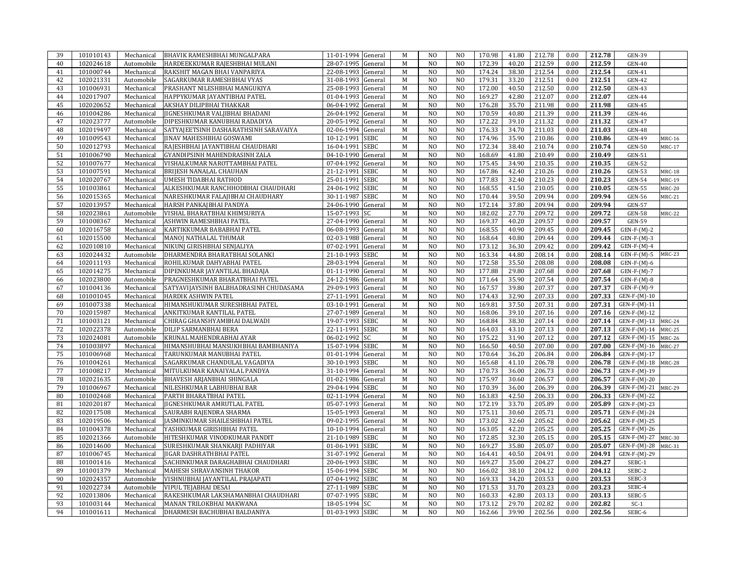| 39       | 101010143              | Mechanical | BHAVIK RAMESHBHAI MUNGALPARA           | 11-01-1994 General | M           | N <sub>O</sub> | N <sub>O</sub> | 170.98 | 41.80 | 212.78 | 0.00 | 212.78 | <b>GEN-39</b>       |               |
|----------|------------------------|------------|----------------------------------------|--------------------|-------------|----------------|----------------|--------|-------|--------|------|--------|---------------------|---------------|
| 40       | 102024618              | Automobile | HARDEEKKUMAR RAJESHBHAI MULANI         | 28-07-1995 General | M           | N <sub>O</sub> | N <sub>O</sub> | 172.39 | 40.20 | 212.59 | 0.00 | 212.59 | <b>GEN-40</b>       |               |
| 41       | 101000744              | Mechanical | RAKSHIT MAGAN BHAI VANPARIYA           | 22-08-1993 General | M           | N <sub>O</sub> | N <sub>O</sub> | 174.24 | 38.30 | 212.54 | 0.00 | 212.54 | <b>GEN-41</b>       |               |
| 42       | 102021331              | Automobile | SAGARKUMAR RAMESHBHAI VYAS             | 31-08-1993 General | $\mathbf M$ | N <sub>O</sub> | N <sub>O</sub> | 179.31 | 33.20 | 212.51 | 0.00 | 212.51 | <b>GEN-42</b>       |               |
| 43       | 101006931              | Mechanical | PRASHANT NILESHBHAI MANGUKIYA          | 25-08-1993 General | M           | N <sub>O</sub> | N <sub>O</sub> | 172.00 | 40.50 | 212.50 | 0.00 | 212.50 | <b>GEN-43</b>       |               |
| 44       | 102017907              | Mechanical | HAPPYKUMAR JAYANTIBHAI PATEL           | 01-04-1993 General | M           | N <sub>O</sub> | N <sub>O</sub> | 169.27 | 42.80 | 212.07 | 0.00 | 212.07 | <b>GEN-44</b>       |               |
| 45       | 102020652              | Mechanical | AKSHAY DILIPBHAI THAKKAR               | 06-04-1992 General | $\mathbf M$ | N <sub>O</sub> | N <sub>O</sub> | 176.28 | 35.70 | 211.98 | 0.00 | 211.98 | <b>GEN-45</b>       |               |
|          |                        |            |                                        |                    |             | N <sub>O</sub> |                |        |       | 211.39 |      |        |                     |               |
| 46       | 101004286              | Mechanical | JIGNESHKUMAR VALJIBHAI BHADANI         | 26-04-1992 General | $\mathbf M$ |                | N <sub>O</sub> | 170.59 | 40.80 |        | 0.00 | 211.39 | <b>GEN-46</b>       |               |
| 47       | 102023777              | Automobile | DIPESHKUMAR KANUBHAI RADADIYA          | 20-05-1992 General | M           | N <sub>O</sub> | N <sub>O</sub> | 172.22 | 39.10 | 211.32 | 0.00 | 211.32 | <b>GEN-47</b>       |               |
| 48       | 102019497              | Mechanical | SATYAJEETSINH DASHARATHSINH SARAVAIYA  | 02-06-1994 General | M           | N <sub>O</sub> | N <sub>O</sub> | 176.33 | 34.70 | 211.03 | 0.00 | 211.03 | <b>GEN-48</b>       |               |
| 49       | 101009543              | Mechanical | <b>JINAV MAHESHBHAI GOSWAMI</b>        | 10-12-1991 SEBC    | $\mathbf M$ | N <sub>O</sub> | N <sub>O</sub> | 174.96 | 35.90 | 210.86 | 0.00 | 210.86 | <b>GEN-49</b>       | <b>MRC-16</b> |
| 50       | 102012793              | Mechanical | RAJESHBHAI JAYANTIBHAI CHAUDHARI       | 16-04-1991 SEBC    | M           | N <sub>O</sub> | N <sub>O</sub> | 172.34 | 38.40 | 210.74 | 0.00 | 210.74 | <b>GEN-50</b>       | <b>MRC-17</b> |
| 51       | 101006790              | Mechanical | GYANDIPSINH MAHENDRASINH ZALA          | 04-10-1990 General | M           | N <sub>O</sub> | N <sub>O</sub> | 168.69 | 41.80 | 210.49 | 0.00 | 210.49 | <b>GEN-51</b>       |               |
| 52       | 101007677              | Mechanical | VISHALKUMAR NAROTTAMBHAI PATEL         | 07-04-1992 General | $\mathbf M$ | N <sub>O</sub> | N <sub>O</sub> | 175.45 | 34.90 | 210.35 | 0.00 | 210.35 | <b>GEN-52</b>       |               |
| 53       | 101007591              | Mechanical | <b>BRIJESH NANALAL CHAUHAN</b>         | 21-12-1991 SEBC    | M           | N <sub>O</sub> | N <sub>O</sub> | 167.86 | 42.40 | 210.26 | 0.00 | 210.26 | <b>GEN-53</b>       | <b>MRC-18</b> |
| 54       | 102020767              | Mechanical | <b>UMESH TIDABHAI RATHOD</b>           | 25-01-1991 SEBC    | M           | N <sub>O</sub> | N <sub>O</sub> | 177.83 | 32.40 | 210.23 | 0.00 | 210.23 | <b>GEN-54</b>       | <b>MRC-19</b> |
| 55       | 101003861              | Mechanical | ALKESHKUMAR RANCHHODBHAI CHAUDHARI     | 24-06-1992 SEBC    | M           | N <sub>O</sub> | N <sub>O</sub> | 168.55 | 41.50 | 210.05 | 0.00 | 210.05 | <b>GEN-55</b>       | <b>MRC-20</b> |
| 56       | 102015365              | Mechanical | NARESHKUMAR FALAJIBHAI CHAUDHARY       | 30-11-1987 SEBC    | M           | N <sub>O</sub> | N <sub>O</sub> | 170.44 | 39.50 | 209.94 | 0.00 | 209.94 | <b>GEN-56</b>       | <b>MRC-21</b> |
| 57       | 102013957              | Mechanical | HARSH PANKAJBHAI PANDYA                | 24-06-1990 General | M           | N <sub>O</sub> | N <sub>O</sub> | 172.14 | 37.80 | 209.94 | 0.00 | 209.94 | <b>GEN-57</b>       |               |
| 58       | 102023861              | Automobile | VISHAL BHARATBHAI KHIMSURIYA           | 15-07-1993 SC      | M           | N <sub>O</sub> | N <sub>O</sub> | 182.02 | 27.70 | 209.72 | 0.00 | 209.72 | <b>GEN-58</b>       | <b>MRC-22</b> |
| 59       | 101008367              | Mechanical | ASHWIN RAMESHBHAI PATEL                | 27-04-1990 General | M           | N <sub>O</sub> | N <sub>O</sub> | 169.37 | 40.20 | 209.57 | 0.00 | 209.57 | <b>GEN-59</b>       |               |
| 60       | 102016758              | Mechanical | KARTIKKUMAR BABABHAI PATEL             | 06-08-1993 General | M           | N <sub>O</sub> | N <sub>O</sub> | 168.55 | 40.90 | 209.45 | 0.00 | 209.45 | $GEN-F-(M)-2$       |               |
| 61       | 102015500              | Mechanical | MANOJ NATHALAL THUMAR                  | 02-03-1988 General | $\mathbf M$ | N <sub>0</sub> | N <sub>O</sub> | 168.64 | 40.80 | 209.44 | 0.00 | 209.44 | $GEN-F-(M)-3$       |               |
| 62       | 102010810              | Mechanical | NIKUNI GIRISHBHAI SENJALIYA            | 07-02-1991 General | M           | N <sub>O</sub> | N <sub>O</sub> | 173.12 | 36.30 | 209.42 | 0.00 | 209.42 | $GEN-F-(M)-4$       |               |
| 63       | 102024432              | Automobile | DHARMENDRA BHARATBHAI SOLANKI          | 21-10-1993 SEBC    | M           | N <sub>O</sub> | N <sub>O</sub> | 163.34 | 44.80 | 208.14 | 0.00 | 208.14 | $GEN-F-(M)-5$       | <b>MRC-23</b> |
| 64       | 102011193              | Mechanical | ROHILKUMAR DAHYABHAI PATEL             | 28-03-1994 General | $\mathbf M$ | N <sub>0</sub> | N <sub>O</sub> | 172.58 | 35.50 | 208.08 | 0.00 | 208.08 | $GEN-F-(M)-6$       |               |
| 65       | 102014275              | Mechanical | DIPENKUMAR JAYANTILAL BHADAJA          | 01-11-1990 General | M           | N <sub>O</sub> | N <sub>O</sub> | 177.88 | 29.80 | 207.68 | 0.00 | 207.68 | $GEN-F-(M)-7$       |               |
| 66       | 102023800              | Automobile | PRAGNESHKUMAR BHARATBHAI PATEL         | 24-12-1986 General | M           | N <sub>O</sub> | N <sub>O</sub> | 171.64 | 35.90 | 207.54 | 0.00 | 207.54 | $GEN-F-(M)-8$       |               |
| 67       | 101004136              | Mechanical | SATYAVIJAYSINH BALBHADRASINH CHUDASAMA | 29-09-1993 General | $\mathbf M$ | N <sub>0</sub> | N <sub>O</sub> | 167.57 | 39.80 | 207.37 | 0.00 | 207.37 | $GEN-F-(M)-9$       |               |
|          |                        |            |                                        |                    |             | N <sub>O</sub> |                |        |       |        |      |        |                     |               |
| 68       | 101001045              | Mechanical | <b>HARDIK ASHWIN PATEL</b>             | 27-11-1991 General | M           |                | N <sub>O</sub> | 174.43 | 32.90 | 207.33 | 0.00 | 207.33 | GEN-F-(M)-10        |               |
| 69       | 101007338              | Mechanical | HIMANSHUKUMAR SURESHBHAI PATEL         | 03-10-1991 General | M           | N <sub>O</sub> | N <sub>O</sub> | 169.81 | 37.50 | 207.31 | 0.00 | 207.31 | $GEN-F-(M)-11$      |               |
| 70       | 102015987              | Mechanical | ANKITKUMAR KANTILAL PATEL              | 27-07-1989 General | M           | N <sub>0</sub> | N <sub>O</sub> | 168.06 | 39.10 | 207.16 | 0.00 | 207.16 | GEN-F-(M)-12        |               |
| 71       | 101003121              | Mechanical | CHIRAG GHANSHYAMBHAI DALWADI           | 19-07-1993 SEBC    | M           | N <sub>O</sub> | N <sub>O</sub> | 168.84 | 38.30 | 207.14 | 0.00 | 207.14 | GEN-F-(M)-13 MRC-24 |               |
| 72       | 102022378              | Automobile | DILIP SARMANBHAI BERA                  | 22-11-1991 SEBC    | M           | N <sub>O</sub> | N <sub>O</sub> | 164.03 | 43.10 | 207.13 | 0.00 | 207.13 | $GEN-F-(M)-14$      | <b>MRC-25</b> |
| 73       | 102024081              | Automobile | KRUNAL MAHENDRABHAI AYAR               | 06-02-1992 SC      | M           | N <sub>O</sub> | N <sub>O</sub> | 175.22 | 31.90 | 207.12 | 0.00 | 207.12 | $GEN-F-(M)-15$      | <b>MRC-26</b> |
| 74       | 101003897              | Mechanical | HIMANSHUBHAI MANSUKHBHAI BAMBHANIYA    | 15-07-1994 SEBC    | M           | N <sub>O</sub> | N <sub>O</sub> | 166.50 | 40.50 | 207.00 | 0.00 | 207.00 | GEN-F-(M)-16 MRC-27 |               |
| 75       | 101006968              | Mechanical | TARUNKUMAR MANUBHAI PATEL              | 01-01-1994 General | $\mathbf M$ | N <sub>O</sub> | N <sub>O</sub> | 170.64 | 36.20 | 206.84 | 0.00 | 206.84 | $GEN-F-(M)-17$      |               |
| 76       | 101004261              | Mechanical | SAGARKUMAR CHANDULAL VAGADIYA          | 30-10-1993 SEBC    | M           | N <sub>O</sub> | N <sub>O</sub> | 165.68 | 41.10 | 206.78 | 0.00 | 206.78 | GEN-F-(M)-18 MRC-28 |               |
| 77       | 101008217              | Mechanical | MITULKUMAR KANAIYALAL PANDYA           | 31-10-1994 General | M           | N <sub>O</sub> | N <sub>O</sub> | 170.73 | 36.00 | 206.73 | 0.00 | 206.73 | GEN-F-(M)-19        |               |
| 78       | 102021635              | Automobile | <b>BHAVESH ARJANBHAI SHINGALA</b>      | 01-02-1986 General | $\mathbf M$ | N <sub>O</sub> | N <sub>O</sub> | 175.97 | 30.60 | 206.57 | 0.00 | 206.57 | $GEN-F-(M)-20$      |               |
| 79       | 101006967              | Mechanical | NILESHKUMAR LABHUBHAI BAR              | 29-04-1994 SEBC    | M           | N <sub>O</sub> | N <sub>O</sub> | 170.39 | 36.00 | 206.39 | 0.00 | 206.39 | GEN-F-(M)-21 MRC-29 |               |
| 80       | 101002468              | Mechanical | PARTH BHARATBHAI PATEL                 | 02-11-1994 General | M           | N <sub>O</sub> | N <sub>O</sub> | 163.83 | 42.50 | 206.33 | 0.00 | 206.33 | GEN-F-(M)-22        |               |
| 81       | 102020187              | Mechanical | <b>IIGNESHKUMAR AMRUTLAL PATEL</b>     | 05-07-1993 General | M           | N <sub>O</sub> | N <sub>O</sub> | 172.19 | 33.70 | 205.89 | 0.00 | 205.89 | $GEN-F-(M)-23$      |               |
| 82       | 102017508              | Mechanical | SAURABH RAJENDRA SHARMA                | 15-05-1993 General | M           | N <sub>O</sub> | N <sub>O</sub> | 175.11 | 30.60 | 205.71 | 0.00 | 205.71 | $GEN-F-(M)-24$      |               |
| 83       | 102019506              | Mechanical | JASMINKUMAR SHAILESHBHAI PATEL         | 09-02-1995 General | M           | N <sub>O</sub> | N <sub>O</sub> | 173.02 | 32.60 | 205.62 | 0.00 | 205.62 | GEN-F-(M)-25        |               |
| 84       | 101004378              | Mechanical | YASHKUMAR GIRISHBHAI PATEL             | 10-10-1994 General | M           | N <sub>O</sub> | N <sub>O</sub> | 163.05 | 42.20 | 205.25 | 0.00 | 205.25 | GEN-F-(M)-26        |               |
| 85       | 102021366              | Automobile | HITESHKUMAR VINODKUMAR PANDIT          | 21-10-1989 SEBC    | M           | N <sub>O</sub> | N <sub>O</sub> | 172.85 | 32.30 | 205.15 | 0.00 | 205.15 | GEN-F-(M)-27 MRC-30 |               |
| 86       | 102014600              | Mechanical | SURESHKUMAR SHANKARJI PADHIYAR         | 01-06-1991 SEBC    | M           | N <sub>O</sub> | N <sub>O</sub> | 169.27 | 35.80 | 205.07 | 0.00 | 205.07 | GEN-F-(M)-28 MRC-31 |               |
| 87       | 101006745              | Mechanical | <b>IIGAR DASHRATHBHAI PATEL</b>        | 31-07-1992 General | M           | N <sub>O</sub> | N <sub>O</sub> | 164.41 | 40.50 | 204.91 | 0.00 | 204.91 | GEN-F-(M)-29        |               |
| 88       | 101001416              | Mechanical | SACHINKUMAR DARAGHABHAI CHAUDHARI      | 20-06-1993 SEBC    | M           | N <sub>O</sub> | N <sub>O</sub> | 169.27 | 35.00 | 204.27 | 0.00 | 204.27 | SEBC-1              |               |
| 89       | 101001379              | Mechanical | MAHESH SHRAVANSINH THAKOR              | 15-06-1994 SEBC    | M           | N <sub>O</sub> | N <sub>O</sub> | 166.02 | 38.10 | 204.12 | 0.00 | 204.12 | SEBC-2              |               |
| 90       | 102024357              | Automobile | VISHNUBHAI JAYANTILAL PRAJAPATI        | 07-04-1992 SEBC    | M           | N <sub>O</sub> | N <sub>O</sub> | 169.33 | 34.20 | 203.53 | 0.00 | 203.53 | SEBC-3              |               |
| 91       | 102022734              | Automobile | <b>VIPUL TEJABHAI DESAI</b>            | 27-11-1989 SEBC    | M           | N <sub>O</sub> | N <sub>O</sub> | 171.53 | 31.70 | 203.23 | 0.00 | 203.23 | SEBC-4              |               |
| 92       |                        |            |                                        |                    | M           | N <sub>0</sub> | N <sub>O</sub> |        |       |        | 0.00 |        | SEBC-5              |               |
|          | 102013806              | Mechanical | RAKESHKUMAR LAKSHAMANBHAI CHAUDHARI    | 07-07-1995 SEBC    |             |                |                | 160.33 | 42.80 | 203.13 |      | 203.13 |                     |               |
| 93<br>94 | 101003144<br>101001611 | Mechanical | MANAN TRILOKBHAI MAKWANA               | 18-05-1994 SC      | $\mathbf M$ | N <sub>O</sub> | N <sub>O</sub> | 173.12 | 29.70 | 202.82 | 0.00 | 202.82 | $SC-1$              |               |
|          |                        | Mechanical | DHARMESH BACHUBHAI BALDANIYA           | 01-03-1993 SEBC    | $\mathbf M$ | N <sub>O</sub> | N <sub>O</sub> | 162.66 | 39.90 | 202.56 | 0.00 | 202.56 | SEBC-6              |               |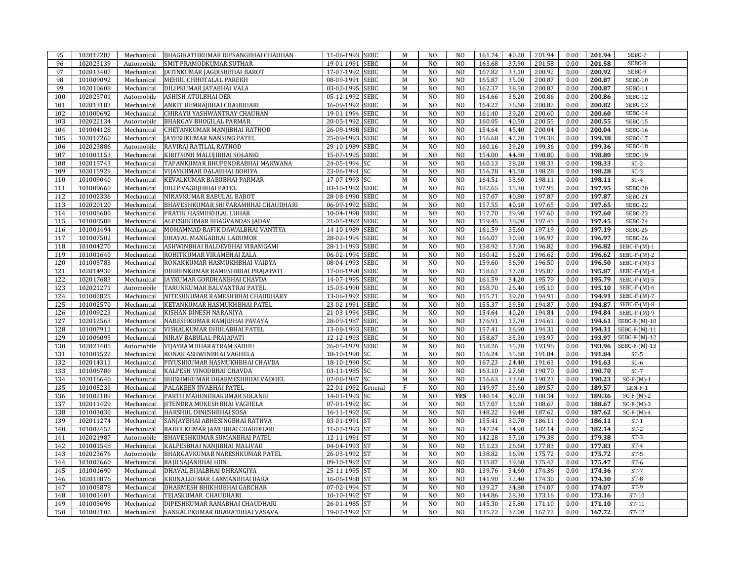| 95  | 102012287 | Mechanical | BHAGIRATHKUMAR DIPSANGBHAI CHAUHAN     | 11-06-1993 SEBC           | M           | N <sub>O</sub> | N <sub>O</sub> | 161.74 | 40.20 | 201.94 | 0.00 | 201.94 | SEBC-7          |
|-----|-----------|------------|----------------------------------------|---------------------------|-------------|----------------|----------------|--------|-------|--------|------|--------|-----------------|
| 96  | 102023139 | Automobile | SMIT PRAMODKUMAR SUTHAR                | 19-01-1991 SEBC           | M           | N <sub>O</sub> | N <sub>O</sub> | 163.68 | 37.90 | 201.58 | 0.00 | 201.58 | SEBC-8          |
| 97  | 102013407 | Mechanical | JATINKUMAR JAGDISHBHAI BAROT           | 17-07-1992 SEBC           | M           | N <sub>O</sub> | N <sub>0</sub> | 167.82 | 33.10 | 200.92 | 0.00 | 200.92 | SEBC-9          |
| 98  | 101009092 | Mechanical | MEHUL CHHOTALAL PAREKH                 | 08-09-1991 SEBC           | M           | N <sub>O</sub> | N <sub>O</sub> | 165.87 | 35.00 | 200.87 | 0.00 | 200.87 | <b>SEBC-10</b>  |
| 99  | 102010608 | Mechanical | DILIPKUMAR JATABHAI VALA               | 03-02-1995 SEBC           | M           | N <sub>O</sub> | N <sub>O</sub> | 162.37 | 38.50 | 200.87 | 0.00 | 200.87 | SEBC-11         |
| 100 | 102023701 | Automobile | ASHISH ATULBHAI DER                    | 05-12-1992 SEBC           | M           | N <sub>O</sub> | N <sub>0</sub> | 164.66 | 36.20 | 200.86 | 0.00 | 200.86 | <b>SEBC-12</b>  |
| 101 | 102013183 | Mechanical | ANKIT HEMRAJBHAI CHAUDHARI             | 16-09-1992<br><b>SEBC</b> | M           | N <sub>O</sub> | N <sub>O</sub> | 164.22 | 36.60 | 200.82 | 0.00 | 200.82 | SEBC-13         |
|     | 101000692 |            |                                        |                           |             | N <sub>O</sub> |                |        |       |        |      |        |                 |
| 102 |           | Mechanical | CHIRAYU YASHWANTRAY CHAUHAN            | 19-01-1994 SEBC           | M           |                | N <sub>O</sub> | 161.40 | 39.20 | 200.60 | 0.00 | 200.60 | SEBC-14         |
| 103 | 102022134 | Automobile | <b>BHARGAV BHOGILAL PARMAR</b>         | 20-05-1992 SEBC           | M           | N <sub>O</sub> | N <sub>O</sub> | 160.05 | 40.50 | 200.55 | 0.00 | 200.55 | SEBC-15         |
| 104 | 101004128 | Mechanical | CHETANKUMAR MANJIBHAI RATHOD           | 26-08-1988 SEBC           | M           | N <sub>O</sub> | N <sub>O</sub> | 154.64 | 45.40 | 200.04 | 0.00 | 200.04 | <b>SEBC-16</b>  |
| 105 | 102017260 | Mechanical | JAYESHKUMAR NANSING PATEL              | 25-09-1993 SEBC           | M           | N <sub>O</sub> | N <sub>O</sub> | 156.68 | 42.70 | 199.38 | 0.00 | 199.38 | <b>SEBC-17</b>  |
| 106 | 102023886 | Automobile | RAVIRAJ RATILAL RATHOD                 | 29-10-1989 SEBC           | M           | N <sub>O</sub> | N <sub>O</sub> | 160.16 | 39.20 | 199.36 | 0.00 | 199.36 | SEBC-18         |
| 107 | 101001153 | Mechanical | KIRITSINH MALUJIBHAI SOLANKI           | 15-07-1995 SEBC           | M           | N <sub>O</sub> | N <sub>O</sub> | 154.00 | 44.80 | 198.80 | 0.00 | 198.80 | SEBC-19         |
| 108 | 102015743 | Mechanical | TAPANKUMAR BHUPENDRABHAI MAKWANA       | 24-05-1994 SC             | $\mathbf M$ | N <sub>O</sub> | N <sub>O</sub> | 160.13 | 38.20 | 198.33 | 0.00 | 198.33 | $SC-2$          |
| 109 | 102015929 | Mechanical | VIJAYKUMAR DALABHAI DORIYA             | 23-06-1991 SC             | M           | N <sub>O</sub> | N <sub>O</sub> | 156.78 | 41.50 | 198.28 | 0.00 | 198.28 | $SC-3$          |
| 110 | 101009040 | Mechanical | KEVALKUMAR BABUBHAI PARMAR             | 17-07-1993<br><b>SC</b>   | M           | N <sub>O</sub> | N <sub>O</sub> | 164.51 | 33.60 | 198.11 | 0.00 | 198.11 | $SC-4$          |
| 111 | 101009660 | Mechanical | DILIP VAGHJIBHAI PATEL                 | 03-10-1982 SEBC           | $\mathbf M$ | N <sub>O</sub> | N <sub>O</sub> | 182.65 | 15.30 | 197.95 | 0.00 | 197.95 | SEBC-20         |
| 112 | 101002336 | Mechanical | NIRAVKUMAR BABULAL BAROT               | 28-08-1990 SEBC           | M           | N <sub>O</sub> | N <sub>O</sub> | 157.07 | 40.80 | 197.87 | 0.00 | 197.87 | SEBC-21         |
| 113 | 102020120 | Mechanical | BHAVESHKUMAR SHIVARAMBHAI CHAUDHARI    | 06-09-1992<br><b>SEBC</b> | M           | N <sub>O</sub> | N <sub>O</sub> | 157.55 | 40.10 | 197.65 | 0.00 | 197.65 | SEBC-22         |
| 114 | 101005680 | Mechanical | PRATIK HASMUKHLAL LUHAR                | 10-04-1990 SEBC           | $\mathbf M$ | N <sub>O</sub> | N <sub>O</sub> | 157.70 | 39.90 | 197.60 | 0.00 | 197.60 | SEBC-23         |
| 115 | 101008588 | Mechanical | ALPESHKUMAR BHAGVANDAS JADAV           | 21-05-1992 SEBC           | M           | N <sub>O</sub> | N <sub>O</sub> | 159.45 | 38.00 | 197.45 | 0.00 | 197.45 | SEBC-24         |
| 116 | 101001494 | Mechanical | MOHAMMAD RAFIK DAWALBHAI VANTIYA       | 14-10-1989 SEBC           | M           | N <sub>O</sub> | N <sub>O</sub> | 161.59 | 35.60 | 197.19 | 0.00 | 197.19 | SEBC-25         |
| 117 | 101007502 | Mechanical | DHAVAL MANGABHAI LADUMOR               | 28-02-1994 SEBC           | ${\bf M}$   | N <sub>O</sub> | N <sub>O</sub> | 166.07 | 30.90 | 196.97 | 0.00 | 196.97 | SEBC-26         |
| 118 | 101004270 | Mechanical | ASHWINBHAI BALDEVBHAI VIRAMGAMI        | 28-11-1993 SEBC           | M           | N <sub>O</sub> | N <sub>O</sub> | 158.92 | 37.90 | 196.82 | 0.00 | 196.82 | $SEBC-F-(M)-1$  |
| 119 | 101001640 | Mechanical | ROHITKUMAR VIRAMBHAI ZALA              | 06-02-1994 SEBC           | M           | N <sub>O</sub> | N <sub>O</sub> | 160.42 | 36.20 | 196.62 | 0.00 | 196.62 | $SEBC-F-(M)-2$  |
| 120 | 101005783 | Mechanical | RONAKKUMAR HASMUKHBHAI VAIDYA          | 08-04-1993 SEBC           | $\mathbf M$ | N <sub>O</sub> | N <sub>O</sub> | 159.60 | 36.90 | 196.50 | 0.00 | 196.50 | $SEBC-F-(M)-3$  |
| 121 | 102014930 | Mechanical | DHIRENKUMAR RAMESHBHAI PRAJAPATI       | 17-08-1990 SEBC           | M           | N <sub>O</sub> | N <sub>O</sub> | 158.67 | 37.20 | 195.87 | 0.00 | 195.87 | $SEBC-F-(M)-4$  |
| 122 | 102017683 | Mechanical | JAYKUMAR GORDHANBHAI CHAVDA            | 14-07-1995 SEBC           | M           | N <sub>O</sub> | N <sub>O</sub> | 161.59 | 34.20 | 195.79 | 0.00 | 195.79 | $SEBC-F-(M)-5$  |
| 123 | 102021271 | Automobile | TARUNKUMAR BALVANTRAI PATEL            | 15-03-1990 SEBC           | M           | N <sub>O</sub> | N <sub>O</sub> | 168.70 | 26.40 | 195.10 | 0.00 |        |                 |
|     |           |            |                                        |                           |             |                |                |        |       |        |      | 195.10 | $SEBC-F-(M)-6$  |
| 124 | 101002825 | Mechanical | NITESHKUMAR RAMESHBHAI CHAUDHARY       | 13-06-1992 SEBC           | M           | N <sub>O</sub> | N <sub>O</sub> | 155.71 | 39.20 | 194.91 | 0.00 | 194.91 | $SEBC-F-(M)-7$  |
| 125 | 101002570 | Mechanical | KETANKUMAR HASMUKHBHAI PATEL           | 23-02-1991 SEBC           | M           | N <sub>O</sub> | N <sub>O</sub> | 155.37 | 39.50 | 194.87 | 0.00 | 194.87 | $SEBC-F-(M)-8$  |
| 126 | 101009223 | Mechanical | KISHAN DINESH NARANIYA                 | 21-03-1994 SEBC           | M           | N <sub>O</sub> | N <sub>O</sub> | 154.64 | 40.20 | 194.84 | 0.00 | 194.84 | $SEBC-F-(M)-9$  |
| 127 | 102012563 | Mechanical | NARESHKUMAR RAMJIBHAI PAVAYA           | 28-09-1987 SEBC           | M           | N <sub>O</sub> | N <sub>O</sub> | 176.91 | 17.70 | 194.61 | 0.00 | 194.61 | SEBC-F-(M)-10   |
| 128 | 101007911 | Mechanical | VISHALKUMAR DHULABHAI PATEL            | 13-08-1993<br><b>SEBC</b> | M           | N <sub>O</sub> | N <sub>O</sub> | 157.41 | 36.90 | 194.31 | 0.00 | 194.31 | $SEBC-F-(M)-11$ |
| 129 | 101006095 | Mechanical | NIRAV BABULAL PRAJAPATI                | 12-12-1993 SEBC           | $\mathbf M$ | N <sub>O</sub> | N <sub>O</sub> | 158.67 | 35.30 | 193.97 | 0.00 | 193.97 | $SEBC-F-(M)-12$ |
| 130 | 102021405 | Automobile | VIJAYRAM BHARATRAM SADHU               | 26-05-1979 SEBC           | M           | N <sub>O</sub> | N <sub>O</sub> | 158.26 | 35.70 | 193.96 | 0.00 | 193.96 | $SEBC-F-(M)-13$ |
| 131 | 101001522 | Mechanical | RONAK ASHWINBHAI VAGHELA               | 18-10-1990 SC             | M           | N <sub>O</sub> | N <sub>O</sub> | 156.24 | 35.60 | 191.84 | 0.00 | 191.84 | $SC-5$          |
| 132 | 102014311 | Mechanical | PIYUSHKUMAR HASMUKHBHAI CHAVDA         | 18-10-1990 SC             | M           | N <sub>O</sub> | N <sub>O</sub> | 167.23 | 24.40 | 191.63 | 0.00 | 191.63 | $SC-6$          |
| 133 | 101006786 | Mechanical | KALPESH VINODBHAI CHAVDA               | 03-11-1985 SC             | M           | N <sub>O</sub> | N <sub>O</sub> | 163.10 | 27.60 | 190.70 | 0.00 | 190.70 | $SC-7$          |
| 134 | 102016640 | Mechanical | <b>BHISHMKUMAR DHARMESHBHAI VADHEL</b> | 07-08-1987 SC             | M           | N <sub>O</sub> | N <sub>O</sub> | 156.63 | 33.60 | 190.23 | 0.00 | 190.23 | $SC-F-(M)-1$    |
| 135 | 101005233 | Mechanical | PALAKBEN JIVABHAI PATEL                | 22-01-1992 General        | $\rm F$     | N <sub>O</sub> | N <sub>O</sub> | 149.97 | 39.60 | 189.57 | 0.00 | 189.57 | $GEN-F-1$       |
| 136 | 101002189 | Mechanical | PARTH MAHENDRAKUMAR SOLANKI            | 14-01-1993 SC             | M           | $\overline{N}$ | <b>YES</b>     | 140.14 | 40.20 | 180.34 | 9.02 | 189.36 | $SC-F-(M)-2$    |
| 137 | 102011429 | Mechanical | <b>JITENDRA MUKESHBHAI VAGHELA</b>     | 07-01-1992 SC             | M           | N <sub>O</sub> | N <sub>O</sub> | 157.07 | 31.60 | 188.67 | 0.00 | 188.67 | $SC-F-(M)-3$    |
| 138 | 101003030 | Mechanical | <b>HARSHUL DINESHBHAI SOSA</b>         | 16-11-1992 SC             | M           | N <sub>O</sub> | N <sub>O</sub> | 148.22 | 39.40 | 187.62 | 0.00 | 187.62 | $SC-F-(M)-4$    |
| 139 | 102011274 | Mechanical | SANJAYBHAI ABHESINGBHAI RATHVA         | 03-01-1991 ST             | M           | N <sub>O</sub> | N <sub>O</sub> | 155.41 | 30.70 | 186.11 | 0.00 | 186.11 | $ST-1$          |
| 140 | 101002452 | Mechanical | RAHULKUMAR JAMUBHAI CHAUDHARI          | 11-07-1993 ST             | M           | N <sub>O</sub> | N <sub>O</sub> | 147.24 | 34.90 | 182.14 | 0.00 | 182.14 | $ST-2$          |
| 141 | 102021987 | Automobile | BHAVESHKUMAR SUMANBHAI PATEL           | 12-11-1991 ST             | M           | N <sub>O</sub> | N <sub>O</sub> | 142.28 | 37.10 | 179.38 | 0.00 | 179.38 | $ST-3$          |
| 142 | 101001548 | Mechanical | KALPESBHAI NANJIBHAI MALIVAD           | 04-04-1993 ST             | M           | $\overline{N}$ | N <sub>O</sub> | 151.23 | 26.60 | 177.83 | 0.00 | 177.83 | $ST-4$          |
| 143 | 102023676 | Automobile | BHARGAVKUMAR NARESHKUMAR PATEL         | 26-03-1992 ST             | M           | N <sub>O</sub> | N <sub>O</sub> | 138.82 | 36.90 | 175.72 | 0.00 | 175.72 | $ST-5$          |
| 144 | 101002660 | Mechanical | RAJU SAJANBHAI HUN                     | 09-10-1992 ST             | M           | N <sub>O</sub> | N <sub>O</sub> | 135.87 | 39.60 | 175.47 | 0.00 | 175.47 | $ST-6$          |
| 145 | 101001690 | Mechanical | DHAVAL BIJALBHAI DHRANGIYA             | 25-11-1995 ST             | M           | N <sub>O</sub> | N <sub>O</sub> | 139.76 | 34.60 | 174.36 | 0.00 | 174.36 | $ST-7$          |
| 146 | 102018876 | Mechanical | KRUNALKUMAR LAXMANBHAI BARA            | 16-06-1988 ST             | M           | N <sub>O</sub> | N <sub>O</sub> | 141.90 | 32.40 | 174.30 | 0.00 | 174.30 | $ST-8$          |
| 147 | 101005878 | Mechanical | DHARMESH BHIKHUBHAI GARCHAR            | 07-02-1994 ST             | M           | N <sub>O</sub> | N <sub>O</sub> | 139.27 | 34.80 | 174.07 | 0.00 | 174.07 | $ST-9$          |
|     | 101001403 |            | TEJASKUMAR CHAUDHARI                   | 10-10-1992 ST             | M           | N <sub>O</sub> | N <sub>O</sub> | 144.86 | 28.30 | 173.16 | 0.00 | 173.16 | $ST-10$         |
| 148 |           | Mechanical |                                        |                           |             |                |                |        |       |        |      |        |                 |
| 149 | 101003696 | Mechanical | DIPESHKUMAR RANABHAI CHAUDHARI         | 26-01-1985 ST             | M           | N <sub>O</sub> | N <sub>O</sub> | 145.30 | 25.80 | 171.10 | 0.00 | 171.10 | $ST-11$         |
| 150 | 101002102 | Mechanical | SANKALPKUMAR BHARATBHAI VASAVA         | 19-07-1992 ST             | M           | N <sub>0</sub> | N <sub>O</sub> | 135.72 | 32.00 | 167.72 | 0.00 | 167.72 | $ST-12$         |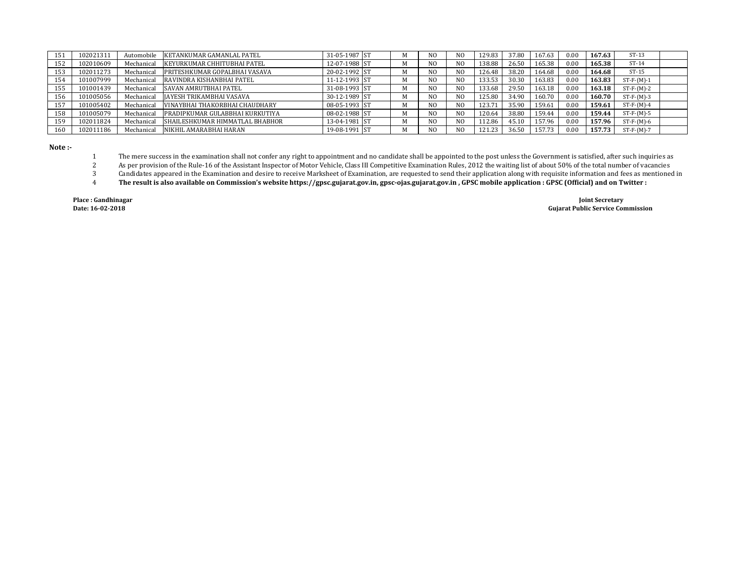| 151 | 102021311 | Automobile | KETANKUMAR GAMANLAL PATEL       | 31-05-1987 ST  |  | N <sub>O</sub> | N <sub>0</sub> | 129.83 | 37.80 | 167.63 | 0.00 | 167.63 | $ST-13$      |  |
|-----|-----------|------------|---------------------------------|----------------|--|----------------|----------------|--------|-------|--------|------|--------|--------------|--|
| 152 | 102010609 | Mechanical | KEYURKUMAR CHHITUBHAI PATEL     | 12-07-1988 ST  |  | N <sub>O</sub> | N <sub>0</sub> | 138.88 | 26.50 | 165.38 | 0.00 | 165.38 | $ST-14$      |  |
| 153 | 102011273 | Mechanical | PRITESHKUMAR GOPALBHAI VASAVA   | 20-02-1992 ST  |  | N <sub>O</sub> | N <sub>0</sub> | 126.48 | 38.20 | 164.68 | 0.00 | 164.68 | $ST-15$      |  |
| 154 | 101007999 | Mechanical | RAVINDRA KISHANBHAI PATEL       | 11-12-1993 IST |  | N <sub>O</sub> | N <sub>0</sub> | 133.53 | 30.30 | 163.83 | 0.00 | 163.83 | $ST-F-(M)-1$ |  |
| 155 | 101001439 | Mechanical | <b>SAVAN AMRUTBHAI PATEL</b>    | 31-08-1993 ST  |  | N <sub>0</sub> | N <sub>0</sub> | 133.68 | 29.50 | 163.18 | 0.00 | 163.18 | $ST-F-(M)-2$ |  |
| 156 | 101005056 | Mechanical | IAYESH TRIKAMBHAI VASAVA        | 30-12-1989 ST  |  | N <sub>O</sub> | N <sub>0</sub> | 125.80 | 34.90 | 160.70 | 0.00 | 160.70 | $ST-F-(M)-3$ |  |
| 157 | 101005402 | Mechanical | VINAYBHAI THAKORBHAI CHAUDHARY  | 08-05-1993 ST  |  | N <sub>O</sub> | N <sub>0</sub> | 123.71 | 35.90 | 159.61 | 0.00 | 159.61 | $ST-F-(M)-4$ |  |
| 158 | 101005079 | Mechanical | PRADIPKUMAR GULABBHAI KURKUTIYA | 08-02-1988 ST  |  | N <sub>0</sub> | N <sub>0</sub> | 120.64 | 38.80 | 159.44 | 0.00 | 159.44 | $ST-F-(M)-5$ |  |
| 159 | 102011824 | Mechanical | SHAILESHKUMAR HIMMATLAL BHABHOR | 13-04-1981 ST  |  | N <sub>0</sub> | N <sub>0</sub> | 112.86 | 45.10 | 157.96 | 0.00 | 157.96 | $ST-F-(M)-6$ |  |
| 160 | 102011186 | Mechanical | NIKHIL AMARABHAI HARAN          | 19-08-1991 ST  |  | N <sub>O</sub> | N <sub>0</sub> | 121.23 | 36.50 | 157.73 | 0.00 | 157.73 | $ST-F-(M)-7$ |  |

**Note :-**

 The mere success in the examination shall not confer any right to appointment and no candidate shall be appointed to the post unless the Government is satisfied, after such inquiries as

 As per provision of the Rule-16 of the Assistant Inspector of Motor Vehicle, Class III Competitive Examination Rules, 2012 the waiting list of about 50% of the total number of vacancies

 Candidates appeared in the Examination and desire to receive Marksheet of Examination, are requested to send their application along with requisite information and fees as mentioned in

 **The result is also available on Commission's website https://gpsc.gujarat.gov.in, gpsc-ojas.gujarat.gov.in , GPSC mobile application : GPSC (Official) and on Twitter :** 

**Place : Gandhinagar Joint Secretary Date: 16-02-2018 Gujarat Public Service Commission**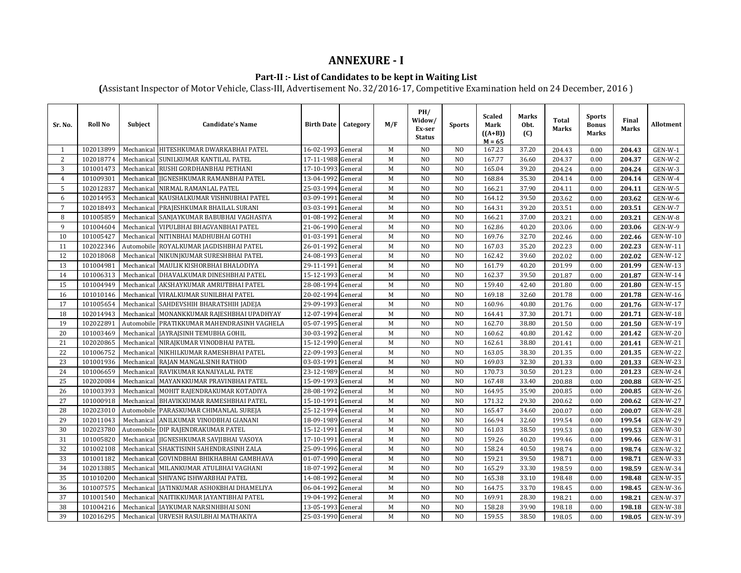### **ANNEXURE - I**

### **Part-II :- List of Candidates to be kept in Waiting List**

**(**Assistant Inspector of Motor Vehicle, Class-III, Advertisement No. 32/2016-17, Competitive Examination held on 24 December, 2016 )

| Sr. No.         | <b>Roll No</b> | Subject    | <b>Candidate's Name</b>                 | <b>Birth Date</b>  | Category | M/F | PH/<br>Widow/<br>Ex-ser<br><b>Status</b> | <b>Sports</b>  | <b>Scaled</b><br>Mark<br>$((A+B))$<br>$M = 65$ | <b>Marks</b><br>Obt.<br>(C) | <b>Total</b><br>Marks | <b>Sports</b><br><b>Bonus</b><br>Marks | Final<br>Marks | <b>Allotment</b> |
|-----------------|----------------|------------|-----------------------------------------|--------------------|----------|-----|------------------------------------------|----------------|------------------------------------------------|-----------------------------|-----------------------|----------------------------------------|----------------|------------------|
| $\mathbf{1}$    | 102013899      |            | Mechanical HITESHKUMAR DWARKABHAI PATEL | 16-02-1993 General |          | M   | N <sub>O</sub>                           | N <sub>O</sub> | 167.23                                         | 37.20                       | 204.43                | 0.00                                   | 204.43         | GEN-W-1          |
| 2               | 102018774      | Mechanical | SUNILKUMAR KANTILAL PATEL               | 17-11-1988 General |          | M   | N <sub>O</sub>                           | N <sub>O</sub> | 167.77                                         | 36.60                       | 204.37                | 0.00                                   | 204.37         | $GEN-W-2$        |
| 3               | 101001473      | Mechanical | RUSHI GORDHANBHAI PETHANI               | 17-10-1993 General |          | M   | N <sub>O</sub>                           | N <sub>O</sub> | 165.04                                         | 39.20                       | 204.24                | 0.00                                   | 204.24         | GEN-W-3          |
| $\overline{4}$  | 101009301      | Mechanical | <b>JIGNESHKUMAR RAMANBHAI PATEL</b>     | 13-04-1992         | General  | M   | N <sub>O</sub>                           | N <sub>O</sub> | 168.84                                         | 35.30                       | 204.14                | 0.00                                   | 204.14         | GEN-W-4          |
| 5               | 102012837      | Mechanical | NIRMAL RAMANLAL PATEL                   | 25-03-1994         | General  | M   | N <sub>O</sub>                           | N <sub>O</sub> | 166.21                                         | 37.90                       | 204.11                | 0.00                                   | 204.11         | GEN-W-5          |
| 6               | 102014953      | Mechanical | KAUSHALKUMAR VISHNUBHAI PATEL           | 03-09-1991         | General  | M   | N <sub>O</sub>                           | N <sub>O</sub> | 164.12                                         | 39.50                       | 203.62                | 0.00                                   | 203.62         | GEN-W-6          |
| $7\overline{ }$ | 102018493      | Mechanical | PRAJESHKUMAR BHAILAL SURANI             | 03-03-1991         | General  | M   | N <sub>O</sub>                           | N <sub>O</sub> | 164.31                                         | 39.20                       | 203.51                | 0.00                                   | 203.51         | GEN-W-7          |
| 8               | 101005859      | Mechanical | SANJAYKUMAR BABUBHAI VAGHASIYA          | 01-08-1992         | General  | M   | N <sub>O</sub>                           | N <sub>O</sub> | 166.21                                         | 37.00                       | 203.21                | 0.00                                   | 203.21         | GEN-W-8          |
| 9               | 101004604      | Mechanical | VIPULBHAI BHAGVANBHAI PATEL             | 21-06-1990 General |          | M   | N <sub>O</sub>                           | N <sub>O</sub> | 162.86                                         | 40.20                       | 203.06                | 0.00                                   | 203.06         | GEN-W-9          |
| 10              | 101005427      |            | Mechanical NITINBHAI MADHUBHAI GOTHI    | 01-03-1991         | General  | M   | N <sub>O</sub>                           | N <sub>O</sub> | 169.76                                         | 32.70                       | 202.46                | 0.00                                   | 202.46         | <b>GEN-W-10</b>  |
| 11              | 102022346      | Automobile | ROYALKUMAR JAGDISHBHAI PATEL            | 26-01-1992         | General  | M   | N <sub>O</sub>                           | N <sub>O</sub> | 167.03                                         | 35.20                       | 202.23                | 0.00                                   | 202.23         | GEN-W-11         |
| 12              | 102018068      | Mechanical | NIKUNJKUMAR SURESHBHAI PATEL            | 24-08-1993         | General  | M   | N <sub>O</sub>                           | N <sub>O</sub> | 162.42                                         | 39.60                       | 202.02                | 0.00                                   | 202.02         | GEN-W-12         |
| 13              | 101004981      |            | Mechanical MAULIK KISHORBHAI BHALODIYA  | 29-11-1991         | General  | M   | N <sub>O</sub>                           | N <sub>O</sub> | 161.79                                         | 40.20                       | 201.99                | 0.00                                   | 201.99         | GEN-W-13         |
| 14              | 101006313      | Mechanical | DHAVALKUMAR DINESHBHAI PATEL            | 15-12-1993         | General  | M   | N <sub>O</sub>                           | N <sub>O</sub> | 162.37                                         | 39.50                       | 201.87                | 0.00                                   | 201.87         | GEN-W-14         |
| 15              | 101004949      | Mechanical | AKSHAYKUMAR AMRUTBHAI PATEL             | 28-08-1994         | General  | M   | N <sub>O</sub>                           | N <sub>O</sub> | 159.40                                         | 42.40                       | 201.80                | 0.00                                   | 201.80         | GEN-W-15         |
| 16              | 101010146      | Mechanical | VIRALKUMAR SUNILBHAI PATEL              | 20-02-1994         | General  | M   | N <sub>O</sub>                           | N <sub>O</sub> | 169.18                                         | 32.60                       | 201.78                | 0.00                                   | 201.78         | GEN-W-16         |
| 17              | 101005654      |            | Mechanical SAHDEVSHIH BHARATSHIH JADEJA | 29-09-1993         | General  | M   | N <sub>O</sub>                           | N <sub>O</sub> | 160.96                                         | 40.80                       | 201.76                | 0.00                                   | 201.76         | GEN-W-17         |
| 18              | 102014943      | Mechanical | MONANKKUMAR RAJESHBHAI UPADHYAY         | 12-07-1994         | General  | M   | N <sub>O</sub>                           | N <sub>O</sub> | 164.41                                         | 37.30                       | 201.71                | 0.00                                   | 201.71         | <b>GEN-W-18</b>  |
| 19              | 102022891      | Automobile | PRATIKKUMAR MAHENDRASINH VAGHELA        | 05-07-1995         | General  | M   | N <sub>O</sub>                           | N <sub>O</sub> | 162.70                                         | 38.80                       | 201.50                | 0.00                                   | 201.50         | GEN-W-19         |
| 20              | 101003469      | Mechanical | JAYRAJSINH TEMUBHA GOHIL                | 30-03-1992         | General  | M   | N <sub>O</sub>                           | N <sub>O</sub> | 160.62                                         | 40.80                       | 201.42                | 0.00                                   | 201.42         | <b>GEN-W-20</b>  |
| 21              | 102020865      | Mechanical | NIRAJKUMAR VINODBHAI PATEL              | 15-12-1990         | General  | M   | N <sub>O</sub>                           | N <sub>O</sub> | 162.61                                         | 38.80                       | 201.41                | 0.00                                   | 201.41         | GEN-W-21         |
| 22              | 101006752      | Mechanical | NIKHILKUMAR RAMESHBHAI PATEL            | 22-09-1993         | General  | M   | N <sub>O</sub>                           | N <sub>O</sub> | 163.05                                         | 38.30                       | 201.35                | 0.00                                   | 201.35         | <b>GEN-W-22</b>  |
| 23              | 101001936      | Mechanical | RAJAN MANGALSINH RATHOD                 | 03-03-1991         | General  | M   | N <sub>O</sub>                           | N <sub>O</sub> | 169.03                                         | 32.30                       | 201.33                | 0.00                                   | 201.33         | <b>GEN-W-23</b>  |
| 24              | 101006659      |            | Mechanical RAVIKUMAR KANAIYALAL PATE    | 23-12-1989         | General  | M   | N <sub>O</sub>                           | N <sub>O</sub> | 170.73                                         | 30.50                       | 201.23                | 0.00                                   | 201.23         | <b>GEN-W-24</b>  |
| 25              | 102020084      | Mechanical | MAYANKKUMAR PRAVINBHAI PATEL            | 15-09-1993         | General  | M   | N <sub>O</sub>                           | N <sub>O</sub> | 167.48                                         | 33.40                       | 200.88                | 0.00                                   | 200.88         | <b>GEN-W-25</b>  |
| 26              | 101003393      | Mechanical | MOHIT RAJENDRAKUMAR KOTADIYA            | 28-08-1992         | General  | M   | N <sub>O</sub>                           | N <sub>O</sub> | 164.95                                         | 35.90                       | 200.85                | 0.00                                   | 200.85         | <b>GEN-W-26</b>  |
| 27              | 101000918      | Mechanical | <b>BHAVIKKUMAR RAMESHBHAI PATEL</b>     | 15-10-1991         | General  | M   | N <sub>O</sub>                           | N <sub>O</sub> | 171.32                                         | 29.30                       | 200.62                | 0.00                                   | 200.62         | GEN-W-27         |
| 28              | 102023010      |            | Automobile PARASKUMAR CHIMANLAL SUREJA  | 25-12-1994         | General  | M   | N <sub>0</sub>                           | N <sub>O</sub> | 165.47                                         | 34.60                       | 200.07                | 0.00                                   | 200.07         | <b>GEN-W-28</b>  |
| 29              | 102011043      | Mechanical | ANILKUMAR VINODBHAI GIANANI             | 18-09-1989         | General  | M   | N <sub>O</sub>                           | N <sub>O</sub> | 166.94                                         | 32.60                       | 199.54                | 0.00                                   | 199.54         | <b>GEN-W-29</b>  |
| 30              | 102023780      | Automobile | DIP RAJENDRAKUMAR PATEL                 | 15-12-1991         | General  | M   | N <sub>O</sub>                           | N <sub>O</sub> | 161.03                                         | 38.50                       | 199.53                | 0.00                                   | 199.53         | <b>GEN-W-30</b>  |
| 31              | 101005820      | Mechanical | JIGNESHKUMAR SAVJIBHAI VASOYA           | 17-10-1991         | General  | M   | N <sub>O</sub>                           | N <sub>O</sub> | 159.26                                         | 40.20                       | 199.46                | 0.00                                   | 199.46         | GEN-W-31         |
| 32              | 101002108      |            | Mechanical SHAKTISINH SAHENDRASINH ZALA | 25-09-1996 General |          | M   | N <sub>O</sub>                           | N <sub>O</sub> | 158.24                                         | 40.50                       | 198.74                | 0.00                                   | 198.74         | GEN-W-32         |
| 33              | 101001182      | Mechanical | GOVINDBHAI BHIKHABHAI GAMBHAVA          | 01-07-1990 General |          | M   | N <sub>O</sub>                           | N <sub>O</sub> | 159.21                                         | 39.50                       | 198.71                | 0.00                                   | 198.71         | GEN-W-33         |
| 34              | 102013885      | Mechanical | MILANKUMAR ATULBHAI VAGHANI             | 18-07-1992         | General  | M   | N <sub>O</sub>                           | N <sub>O</sub> | 165.29                                         | 33.30                       | 198.59                | 0.00                                   | 198.59         | <b>GEN-W-34</b>  |
| 35              | 101010200      | Mechanical | SHIVANG ISHWARBHAI PATEL                | 14-08-1992         | General  | M   | N <sub>O</sub>                           | N <sub>O</sub> | 165.38                                         | 33.10                       | 198.48                | 0.00                                   | 198.48         | GEN-W-35         |
| 36              | 101007575      | Mechanical | JATINKUMAR ASHOKBHAI DHAMELIYA          | 06-04-1992         | General  | M   | N <sub>O</sub>                           | N <sub>O</sub> | 164.75                                         | 33.70                       | 198.45                | 0.00                                   | 198.45         | GEN-W-36         |
| 37              | 101001540      | Mechanical | NAITIKKUMAR JAYANTIBHAI PATEL           | 19-04-1992         | General  | M   | N <sub>O</sub>                           | N <sub>O</sub> | 169.91                                         | 28.30                       | 198.21                | 0.00                                   | 198.21         | GEN-W-37         |
| 38              | 101004216      | Mechanical | JAYKUMAR NARSINHBHAI SONI               | 13-05-1993         | General  | M   | N <sub>O</sub>                           | N <sub>O</sub> | 158.28                                         | 39.90                       | 198.18                | 0.00                                   | 198.18         | <b>GEN-W-38</b>  |
| 39              | 102016295      |            | Mechanical URVESH RASULBHAI MATHAKIYA   | 25-03-1990 General |          | M   | N <sub>O</sub>                           | N <sub>O</sub> | 159.55                                         | 38.50                       | 198.05                | 0.00                                   | 198.05         | GEN-W-39         |